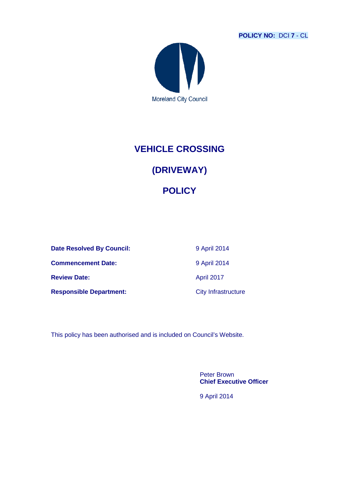**POLICY NO:** DCI **7** - CL



# **VEHICLE CROSSING**

# **(DRIVEWAY)**

## **POLICY**

**Date Resolved By Council:** 9 April 2014 **Commencement Date:** 9 April 2014 **Review Date:** April 2017

**Responsible Department:** City Infrastructure

This policy has been authorised and is included on Council's Website.

Peter Brown **Chief Executive Officer**

9 April 2014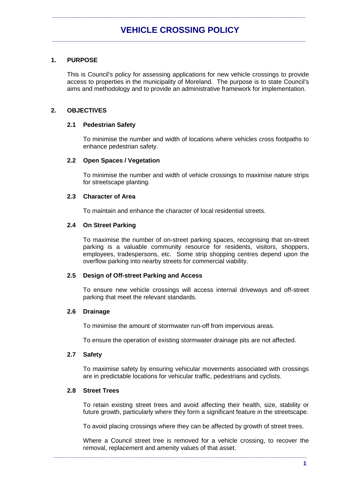## **1. PURPOSE**

This is Council's policy for assessing applications for new vehicle crossings to provide access to properties in the municipality of Moreland. The purpose is to state Council's aims and methodology and to provide an administrative framework for implementation.

## **2. OBJECTIVES**

## **2.1 Pedestrian Safety**

To minimise the number and width of locations where vehicles cross footpaths to enhance pedestrian safety.

## **2.2 Open Spaces / Vegetation**

To minimise the number and width of vehicle crossings to maximise nature strips for streetscape planting.

## **2.3 Character of Area**

To maintain and enhance the character of local residential streets.

## **2.4 On Street Parking**

To maximise the number of on-street parking spaces, recognising that on-street parking is a valuable community resource for residents, visitors, shoppers, employees, tradespersons, etc. Some strip shopping centres depend upon the overflow parking into nearby streets for commercial viability.

## **2.5 Design of Off-street Parking and Access**

To ensure new vehicle crossings will access internal driveways and off-street parking that meet the relevant standards.

## **2.6 Drainage**

To minimise the amount of stormwater run-off from impervious areas.

To ensure the operation of existing stormwater drainage pits are not affected.

## **2.7 Safety**

To maximise safety by ensuring vehicular movements associated with crossings are in predictable locations for vehicular traffic, pedestrians and cyclists.

## **2.8 Street Trees**

To retain existing street trees and avoid affecting their health, size, stability or future growth, particularly where they form a significant feature in the streetscape.

To avoid placing crossings where they can be affected by growth of street trees.

Where a Council street tree is removed for a vehicle crossing, to recover the removal, replacement and amenity values of that asset.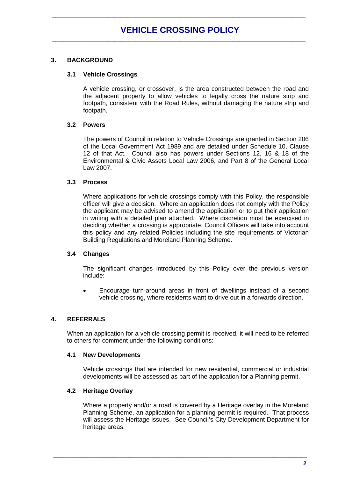## **3. BACKGROUND**

## **3.1 Vehicle Crossings**

A vehicle crossing, or crossover, is the area constructed between the road and the adjacent property to allow vehicles to legally cross the nature strip and footpath, consistent with the Road Rules, without damaging the nature strip and footpath.

## **3.2 Powers**

The powers of Council in relation to Vehicle Crossings are granted in Section 206 of the Local Government Act 1989 and are detailed under Schedule 10, Clause 12 of that Act. Council also has powers under Sections 12, 16 & 18 of the Environmental & Civic Assets Local Law 2006, and Part 8 of the General Local Law 2007.

## **3.3 Process**

Where applications for vehicle crossings comply with this Policy, the responsible officer will give a decision. Where an application does not comply with the Policy the applicant may be advised to amend the application or to put their application in writing with a detailed plan attached. Where discretion must be exercised in deciding whether a crossing is appropriate, Council Officers will take into account this policy and any related Policies including the site requirements of Victorian Building Regulations and Moreland Planning Scheme.

## **3.4 Changes**

The significant changes introduced by this Policy over the previous version include:

• Encourage turn-around areas in front of dwellings instead of a second vehicle crossing, where residents want to drive out in a forwards direction.

## **4. REFERRALS**

When an application for a vehicle crossing permit is received, it will need to be referred to others for comment under the following conditions:

## **4.1 New Developments**

Vehicle crossings that are intended for new residential, commercial or industrial developments will be assessed as part of the application for a Planning permit.

## **4.2 Heritage Overlay**

Where a property and/or a road is covered by a Heritage overlay in the Moreland Planning Scheme, an application for a planning permit is required. That process will assess the Heritage issues. See Council's City Development Department for heritage areas.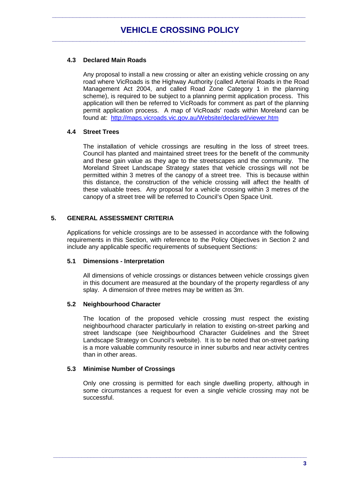## **4.3 Declared Main Roads**

Any proposal to install a new crossing or alter an existing vehicle crossing on any road where VicRoads is the Highway Authority (called Arterial Roads in the Road Management Act 2004, and called Road Zone Category 1 in the planning scheme), is required to be subject to a planning permit application process. This application will then be referred to VicRoads for comment as part of the planning permit application process. A map of VicRoads' roads within Moreland can be found at: <http://maps.vicroads.vic.gov.au/Website/declared/viewer.htm>

## **4.4 Street Trees**

The installation of vehicle crossings are resulting in the loss of street trees. Council has planted and maintained street trees for the benefit of the community and these gain value as they age to the streetscapes and the community. The Moreland Street Landscape Strategy states that vehicle crossings will not be permitted within 3 metres of the canopy of a street tree. This is because within this distance, the construction of the vehicle crossing will affect the health of these valuable trees. Any proposal for a vehicle crossing within 3 metres of the canopy of a street tree will be referred to Council's Open Space Unit.

## **5. GENERAL ASSESSMENT CRITERIA**

Applications for vehicle crossings are to be assessed in accordance with the following requirements in this Section, with reference to the Policy Objectives in Section 2 and include any applicable specific requirements of subsequent Sections:

## **5.1 Dimensions - Interpretation**

All dimensions of vehicle crossings or distances between vehicle crossings given in this document are measured at the boundary of the property regardless of any splay. A dimension of three metres may be written as 3m.

## **5.2 Neighbourhood Character**

The location of the proposed vehicle crossing must respect the existing neighbourhood character particularly in relation to existing on-street parking and street landscape (see Neighbourhood Character Guidelines and the Street Landscape Strategy on Council's website). It is to be noted that on-street parking is a more valuable community resource in inner suburbs and near activity centres than in other areas.

## **5.3 Minimise Number of Crossings**

Only one crossing is permitted for each single dwelling property, although in some circumstances a request for even a single vehicle crossing may not be successful.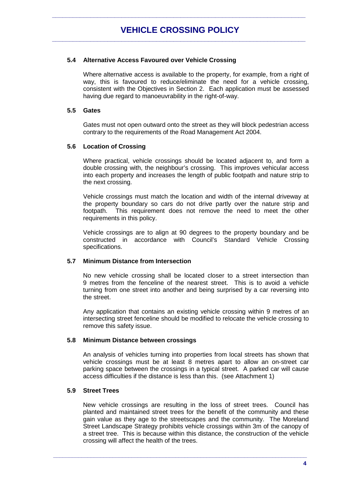## **5.4 Alternative Access Favoured over Vehicle Crossing**

Where alternative access is available to the property, for example, from a right of way, this is favoured to reduce/eliminate the need for a vehicle crossing, consistent with the Objectives in Section 2. Each application must be assessed having due regard to manoeuvrability in the right-of-way.

## **5.5 Gates**

Gates must not open outward onto the street as they will block pedestrian access contrary to the requirements of the Road Management Act 2004.

## **5.6 Location of Crossing**

Where practical, vehicle crossings should be located adjacent to, and form a double crossing with, the neighbour's crossing. This improves vehicular access into each property and increases the length of public footpath and nature strip to the next crossing.

Vehicle crossings must match the location and width of the internal driveway at the property boundary so cars do not drive partly over the nature strip and footpath. This requirement does not remove the need to meet the other This requirement does not remove the need to meet the other requirements in this policy.

Vehicle crossings are to align at 90 degrees to the property boundary and be constructed in accordance with Council's Standard Vehicle Crossing specifications.

## **5.7 Minimum Distance from Intersection**

No new vehicle crossing shall be located closer to a street intersection than 9 metres from the fenceline of the nearest street. This is to avoid a vehicle turning from one street into another and being surprised by a car reversing into the street.

Any application that contains an existing vehicle crossing within 9 metres of an intersecting street fenceline should be modified to relocate the vehicle crossing to remove this safety issue.

## **5.8 Minimum Distance between crossings**

An analysis of vehicles turning into properties from local streets has shown that vehicle crossings must be at least 8 metres apart to allow an on-street car parking space between the crossings in a typical street. A parked car will cause access difficulties if the distance is less than this. (see Attachment 1)

## **5.9 Street Trees**

New vehicle crossings are resulting in the loss of street trees. Council has planted and maintained street trees for the benefit of the community and these gain value as they age to the streetscapes and the community. The Moreland Street Landscape Strategy prohibits vehicle crossings within 3m of the canopy of a street tree. This is because within this distance, the construction of the vehicle crossing will affect the health of the trees.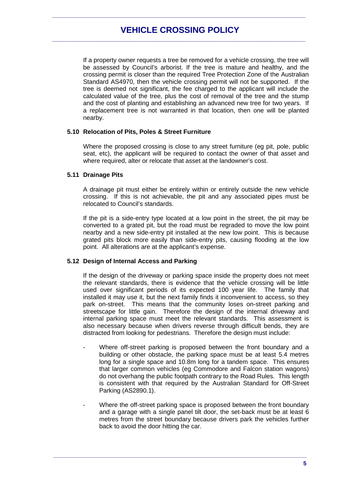If a property owner requests a tree be removed for a vehicle crossing, the tree will be assessed by Council's arborist. If the tree is mature and healthy, and the crossing permit is closer than the required Tree Protection Zone of the Australian Standard AS4970, then the vehicle crossing permit will not be supported. If the tree is deemed not significant, the fee charged to the applicant will include the calculated value of the tree, plus the cost of removal of the tree and the stump and the cost of planting and establishing an advanced new tree for two years. If a replacement tree is not warranted in that location, then one will be planted nearby.

#### **5.10 Relocation of Pits, Poles & Street Furniture**

Where the proposed crossing is close to any street furniture (eg pit, pole, public seat, etc), the applicant will be required to contact the owner of that asset and where required, alter or relocate that asset at the landowner's cost.

## **5.11 Drainage Pits**

A drainage pit must either be entirely within or entirely outside the new vehicle crossing. If this is not achievable, the pit and any associated pipes must be relocated to Council's standards.

If the pit is a side-entry type located at a low point in the street, the pit may be converted to a grated pit, but the road must be regraded to move the low point nearby and a new side-entry pit installed at the new low point. This is because grated pits block more easily than side-entry pits, causing flooding at the low point. All alterations are at the applicant's expense.

#### **5.12 Design of Internal Access and Parking**

If the design of the driveway or parking space inside the property does not meet the relevant standards, there is evidence that the vehicle crossing will be little used over significant periods of its expected 100 year life. The family that installed it may use it, but the next family finds it inconvenient to access, so they park on-street. This means that the community loses on-street parking and streetscape for little gain. Therefore the design of the internal driveway and internal parking space must meet the relevant standards. This assessment is also necessary because when drivers reverse through difficult bends, they are distracted from looking for pedestrians. Therefore the design must include:

- Where off-street parking is proposed between the front boundary and a building or other obstacle, the parking space must be at least 5.4 metres long for a single space and 10.8m long for a tandem space. This ensures that larger common vehicles (eg Commodore and Falcon station wagons) do not overhang the public footpath contrary to the Road Rules. This length is consistent with that required by the Australian Standard for Off-Street Parking (AS2890.1).
- Where the off-street parking space is proposed between the front boundary and a garage with a single panel tilt door, the set-back must be at least 6 metres from the street boundary because drivers park the vehicles further back to avoid the door hitting the car.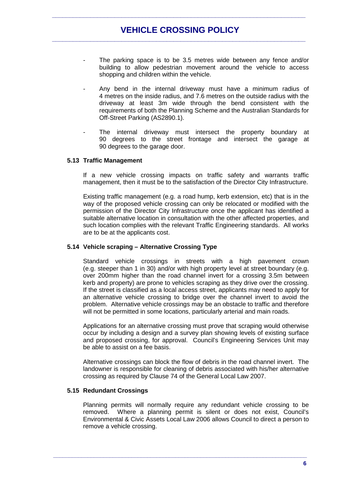- The parking space is to be 3.5 metres wide between any fence and/or building to allow pedestrian movement around the vehicle to access shopping and children within the vehicle.
- Any bend in the internal driveway must have a minimum radius of 4 metres on the inside radius, and 7.6 metres on the outside radius with the driveway at least 3m wide through the bend consistent with the requirements of both the Planning Scheme and the Australian Standards for Off-Street Parking (AS2890.1).
- The internal driveway must intersect the property boundary at 90 degrees to the street frontage and intersect the garage at 90 degrees to the garage door.

#### **5.13 Traffic Management**

If a new vehicle crossing impacts on traffic safety and warrants traffic management, then it must be to the satisfaction of the Director City Infrastructure.

Existing traffic management (e.g. a road hump, kerb extension, etc) that is in the way of the proposed vehicle crossing can only be relocated or modified with the permission of the Director City Infrastructure once the applicant has identified a suitable alternative location in consultation with the other affected properties, and such location complies with the relevant Traffic Engineering standards. All works are to be at the applicants cost.

#### **5.14 Vehicle scraping – Alternative Crossing Type**

Standard vehicle crossings in streets with a high pavement crown (e.g. steeper than 1 in 30) and/or with high property level at street boundary (e.g. over 200mm higher than the road channel invert for a crossing 3.5m between kerb and property) are prone to vehicles scraping as they drive over the crossing. If the street is classified as a local access street, applicants may need to apply for an alternative vehicle crossing to bridge over the channel invert to avoid the problem. Alternative vehicle crossings may be an obstacle to traffic and therefore will not be permitted in some locations, particularly arterial and main roads.

Applications for an alternative crossing must prove that scraping would otherwise occur by including a design and a survey plan showing levels of existing surface and proposed crossing, for approval. Council's Engineering Services Unit may be able to assist on a fee basis.

Alternative crossings can block the flow of debris in the road channel invert. The landowner is responsible for cleaning of debris associated with his/her alternative crossing as required by Clause 74 of the General Local Law 2007.

#### **5.15 Redundant Crossings**

Planning permits will normally require any redundant vehicle crossing to be removed. Where a planning permit is silent or does not exist, Council's Environmental & Civic Assets Local Law 2006 allows Council to direct a person to remove a vehicle crossing.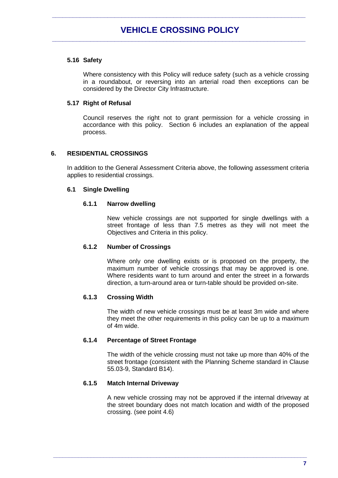## **5.16 Safety**

Where consistency with this Policy will reduce safety (such as a vehicle crossing in a roundabout, or reversing into an arterial road then exceptions can be considered by the Director City Infrastructure.

## **5.17 Right of Refusal**

Council reserves the right not to grant permission for a vehicle crossing in accordance with this policy. Section 6 includes an explanation of the appeal process.

## **6. RESIDENTIAL CROSSINGS**

In addition to the General Assessment Criteria above, the following assessment criteria applies to residential crossings.

## **6.1 Single Dwelling**

## **6.1.1 Narrow dwelling**

New vehicle crossings are not supported for single dwellings with a street frontage of less than 7.5 metres as they will not meet the Objectives and Criteria in this policy.

## **6.1.2 Number of Crossings**

Where only one dwelling exists or is proposed on the property, the maximum number of vehicle crossings that may be approved is one. Where residents want to turn around and enter the street in a forwards direction, a turn-around area or turn-table should be provided on-site.

## **6.1.3 Crossing Width**

The width of new vehicle crossings must be at least 3m wide and where they meet the other requirements in this policy can be up to a maximum of 4m wide.

## **6.1.4 Percentage of Street Frontage**

The width of the vehicle crossing must not take up more than 40% of the street frontage (consistent with the Planning Scheme standard in Clause 55.03-9, Standard B14).

## **6.1.5 Match Internal Driveway**

A new vehicle crossing may not be approved if the internal driveway at the street boundary does not match location and width of the proposed crossing. (see point 4.6)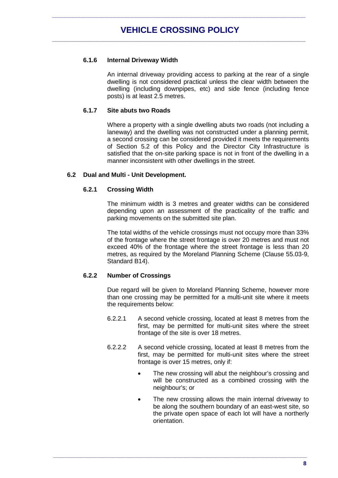## **6.1.6 Internal Driveway Width**

An internal driveway providing access to parking at the rear of a single dwelling is not considered practical unless the clear width between the dwelling (including downpipes, etc) and side fence (including fence posts) is at least 2.5 metres.

## **6.1.7 Site abuts two Roads**

Where a property with a single dwelling abuts two roads (not including a laneway) and the dwelling was not constructed under a planning permit, a second crossing can be considered provided it meets the requirements of Section 5.2 of this Policy and the Director City Infrastructure is satisfied that the on-site parking space is not in front of the dwelling in a manner inconsistent with other dwellings in the street.

## **6.2 Dual and Multi - Unit Development.**

## **6.2.1 Crossing Width**

The minimum width is 3 metres and greater widths can be considered depending upon an assessment of the practicality of the traffic and parking movements on the submitted site plan.

The total widths of the vehicle crossings must not occupy more than 33% of the frontage where the street frontage is over 20 metres and must not exceed 40% of the frontage where the street frontage is less than 20 metres, as required by the Moreland Planning Scheme (Clause 55.03-9, Standard B14).

## **6.2.2 Number of Crossings**

Due regard will be given to Moreland Planning Scheme, however more than one crossing may be permitted for a multi-unit site where it meets the requirements below:

- 6.2.2.1 A second vehicle crossing, located at least 8 metres from the first, may be permitted for multi-unit sites where the street frontage of the site is over 18 metres.
- 6.2.2.2 A second vehicle crossing, located at least 8 metres from the first, may be permitted for multi-unit sites where the street frontage is over 15 metres, only if:

- The new crossing will abut the neighbour's crossing and will be constructed as a combined crossing with the neighbour's; or
- The new crossing allows the main internal driveway to be along the southern boundary of an east-west site, so the private open space of each lot will have a northerly orientation.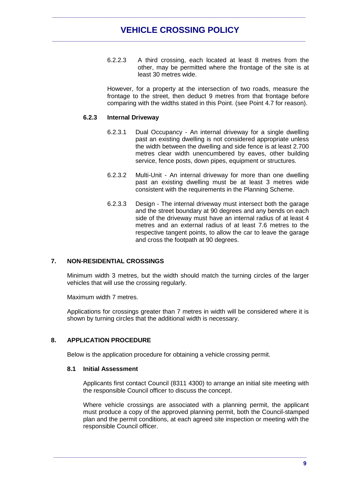## **VEHICLE CROSSING POLICY \_\_\_\_\_\_\_\_\_\_\_\_\_\_\_\_\_\_\_\_\_\_\_\_\_\_\_\_\_\_\_\_\_\_\_\_\_\_\_\_\_\_\_\_\_\_\_\_\_\_\_\_\_\_\_\_\_\_\_\_\_\_\_\_\_\_\_\_\_\_\_\_\_**

**\_\_\_\_\_\_\_\_\_\_\_\_\_\_\_\_\_\_\_\_\_\_\_\_\_\_\_\_\_\_\_\_\_\_\_\_\_\_\_\_\_\_\_\_\_\_\_\_\_\_\_\_\_\_\_\_\_\_\_\_\_\_\_\_\_\_\_\_\_\_\_\_\_**

6.2.2.3 A third crossing, each located at least 8 metres from the other, may be permitted where the frontage of the site is at least 30 metres wide.

However, for a property at the intersection of two roads, measure the frontage to the street, then deduct 9 metres from that frontage before comparing with the widths stated in this Point. (see Point 4.7 for reason).

#### **6.2.3 Internal Driveway**

- 6.2.3.1 Dual Occupancy An internal driveway for a single dwelling past an existing dwelling is not considered appropriate unless the width between the dwelling and side fence is at least 2.700 metres clear width unencumbered by eaves, other building service, fence posts, down pipes, equipment or structures.
- 6.2.3.2 Multi-Unit An internal driveway for more than one dwelling past an existing dwelling must be at least 3 metres wide consistent with the requirements in the Planning Scheme.
- 6.2.3.3 Design The internal driveway must intersect both the garage and the street boundary at 90 degrees and any bends on each side of the driveway must have an internal radius of at least 4 metres and an external radius of at least 7.6 metres to the respective tangent points, to allow the car to leave the garage and cross the footpath at 90 degrees.

### **7. NON-RESIDENTIAL CROSSINGS**

Minimum width 3 metres, but the width should match the turning circles of the larger vehicles that will use the crossing regularly.

Maximum width 7 metres.

Applications for crossings greater than 7 metres in width will be considered where it is shown by turning circles that the additional width is necessary.

#### **8. APPLICATION PROCEDURE**

Below is the application procedure for obtaining a vehicle crossing permit.

#### **8.1 Initial Assessment**

Applicants first contact Council (8311 4300) to arrange an initial site meeting with the responsible Council officer to discuss the concept.

Where vehicle crossings are associated with a planning permit, the applicant must produce a copy of the approved planning permit, both the Council-stamped plan and the permit conditions, at each agreed site inspection or meeting with the responsible Council officer.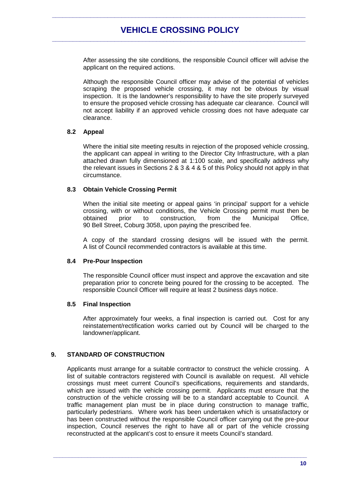After assessing the site conditions, the responsible Council officer will advise the applicant on the required actions.

Although the responsible Council officer may advise of the potential of vehicles scraping the proposed vehicle crossing, it may not be obvious by visual inspection. It is the landowner's responsibility to have the site properly surveyed to ensure the proposed vehicle crossing has adequate car clearance. Council will not accept liability if an approved vehicle crossing does not have adequate car clearance.

#### **8.2 Appeal**

Where the initial site meeting results in rejection of the proposed vehicle crossing, the applicant can appeal in writing to the Director City Infrastructure, with a plan attached drawn fully dimensioned at 1:100 scale, and specifically address why the relevant issues in Sections  $2 \& 3 \& 4 \& 5$  of this Policy should not apply in that circumstance.

## **8.3 Obtain Vehicle Crossing Permit**

When the initial site meeting or appeal gains 'in principal' support for a vehicle crossing, with or without conditions, the Vehicle Crossing permit must then be obtained prior to construction, from the Municipal Office, 90 Bell Street, Coburg 3058, upon paying the prescribed fee.

A copy of the standard crossing designs will be issued with the permit. A list of Council recommended contractors is available at this time.

#### **8.4 Pre-Pour Inspection**

The responsible Council officer must inspect and approve the excavation and site preparation prior to concrete being poured for the crossing to be accepted. The responsible Council Officer will require at least 2 business days notice.

#### **8.5 Final Inspection**

After approximately four weeks, a final inspection is carried out. Cost for any reinstatement/rectification works carried out by Council will be charged to the landowner/applicant.

## **9. STANDARD OF CONSTRUCTION**

Applicants must arrange for a suitable contractor to construct the vehicle crossing. A list of suitable contractors registered with Council is available on request. All vehicle crossings must meet current Council's specifications, requirements and standards, which are issued with the vehicle crossing permit. Applicants must ensure that the construction of the vehicle crossing will be to a standard acceptable to Council. A traffic management plan must be in place during construction to manage traffic, particularly pedestrians. Where work has been undertaken which is unsatisfactory or has been constructed without the responsible Council officer carrying out the pre-pour inspection, Council reserves the right to have all or part of the vehicle crossing reconstructed at the applicant's cost to ensure it meets Council's standard.